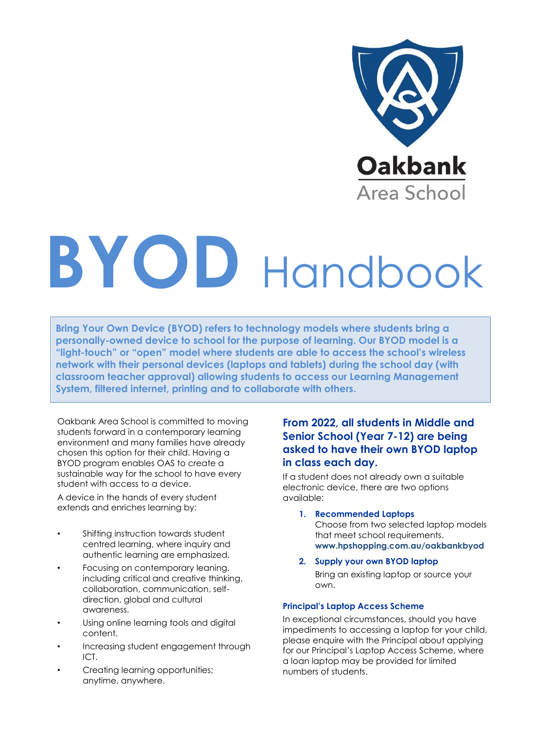

# **BYOD** Handbook

**Bring Your Own Device (BYOD) refers to technology models where students bring a personally-owned device to school for the purpose of learning. Our BYOD model is a "light-touch" or "open" model where students are able to access the school's wireless network with their personal devices (laptops and tablets) during the school day (with classroom teacher approval) allowing students to access our Learning Management System, filtered internet, printing and to collaborate with others.** 

Oakbank Area School is committed to moving students forward in a contemporary learning environment and many families have already chosen this option for their child. Having a BYOD program enables OAS to create a sustainable way for the school to have every student with access to a device.

A device in the hands of every student extends and enriches learning by:

- Shifting instruction towards student centred learning, where inquiry and authentic learning are emphasized.
- Focusing on contemporary leaning, including critical and creative thinking, collaboration, communication, selfdirection, global and cultural awareness.
- Using online learning tools and digital content.
- Increasing student engagement through ICT.
- Creating learning opportunities; anytime, anywhere.

# **From 2022, all students in Middle and Senior School (Year 7-12) are being asked to have their own BYOD laptop in class each day.**

If a student does not already own a suitable electronic device, there are two options available:

**1. Recommended Laptops**

Choose from two selected laptop models that meet school requirements. **[www.hpshopping.com.au/oakbankbyod](http://www.hpshopping.com.au/oakbankbyod)**

**2. Supply your own BYOD laptop** Bring an existing laptop or source your own.

# **Principal's Laptop Access Scheme**

In exceptional circumstances, should you have impediments to accessing a laptop for your child, please enquire with the Principal about applying for our Principal's Laptop Access Scheme, where a loan laptop may be provided for limited numbers of students.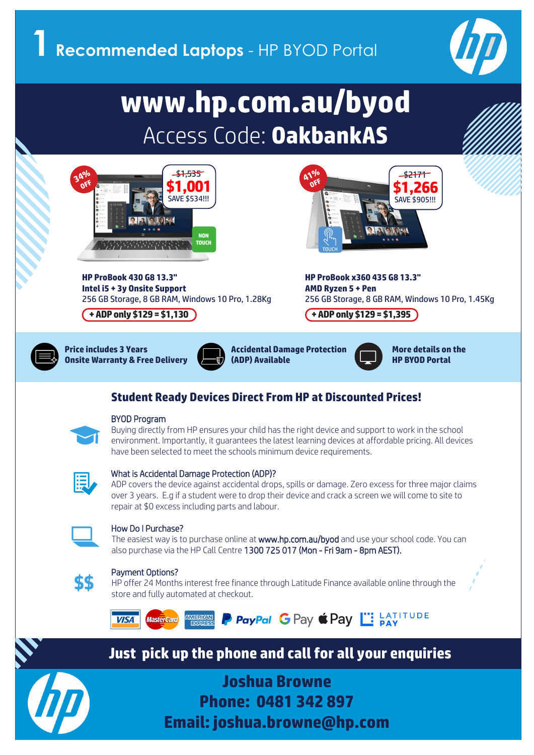

# **www.hp.com.au/byod**  Access Code: **OakbankAS www.lip.com.au/byou**<br>Access Cede: **OakhankAC** Access Code: **OakbankAS**



What is Accidental Damage Protection (ADP)? **HP ProBook 430 G8 13.3" Intel i5 + 3y Onsite Support and accidental drops, spills or damage. Zero excess for the major claims for the major claims for the major claims for the major claims for the major claims for the major claims for the major** 256 GB Storage, 8 GB RAM, Windows 10 Pro, 1.28Kg 256 GB Storage, 8 GB RAM, Windows 10 Pro, 1.4



**Observe Area School HP ProBook x360 435 G8 13.3"**<br> **AMD Ryzen 5 + Pen**<br> **AMD Ryzen 5 + Pen AMD Ryzen 5 + Pen**  256 GB Storage, 8 GB RAM, Windows 10 Pro, 1.45Kg

# repair at \$0 excess including parts and labour. **+ ADP only \$129 = \$1,130 + ADP only \$129 = \$1,395**



**Price includes 3 Years**

**(ADP) Available The easier way is to purchase online at way includes 3 Years** on the use of and use of and use of and use of an<br>In the Warranty & Free Delivery (ADP) Available **Onsite Warranty & Free Delivery (Centre 1300 Available** ). The Britannian Monte 1300 725 MP B

**www.hp.com.au/byodiscom.au/byodiscom.au/byodiscom.au/byodiscom.au/byodiscom.au/byodiscom.au/byodiscom.au/byodi** 



## Student Ready Devices Direct From HP at Discounted Prices! Payment Options?



### BYOD Program store and fully automated at checkout.

Buying directly from HP ensures your child has the right device and support to work in the school environment. Importantly, it guarantees the latest learning devices at affordable pricing. All devices have been selected to meet the schools minimum device requirements.



# What is Accidental Damage Protection (ADP)?

ADP covers the device against accidental drops, spills or damage. Zero excess for three major claims over 3 years. E.g if a student were to drop their device and crack a screen we will come to site to repair at \$0 excess including parts and labour.



# How Do I Purchase?

The easiest way is to purchase online at www.hp.com.au/byod and use your school code. You can also purchase via the HP Call Centre 1300 725 017 (Mon - Fri 9am - 8pm AEST).



# Payment Options?

HP offer 24 Months interest free finance through Latitude Finance available online through the store and fully automated at checkout.



A**All Prices Include: Just pick up the phone and call for all your enquiries**



**- Free Delivery - 3 Years Enhanced Onsite Support & Joshua Browne - Optional Upgrade to Accidental Damage Protection Phone: 0481 342 897 Email: joshua.browne@hp.com**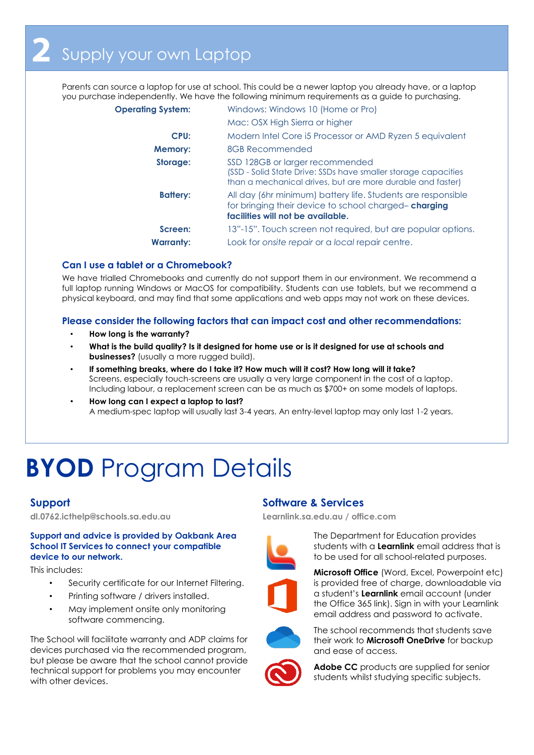Parents can source a laptop for use at school. This could be a newer laptop you already have, or a laptop you purchase independently. We have the following minimum requirements as a guide to purchasing.

| <b>Operating System:</b> | Windows: Windows 10 (Home or Pro)                                                                                                                               |
|--------------------------|-----------------------------------------------------------------------------------------------------------------------------------------------------------------|
|                          | Mac: OSX High Sierra or higher                                                                                                                                  |
| CPU:                     | Modern Intel Core i5 Processor or AMD Ryzen 5 equivalent                                                                                                        |
| <b>Memory:</b>           | 8GB Recommended                                                                                                                                                 |
| Storage:                 | SSD 128GB or larger recommended<br>(SSD - Solid State Drive: SSDs have smaller storage capacities<br>than a mechanical drives, but are more durable and faster) |
| <b>Battery:</b>          | All day (6hr minimum) battery life. Students are responsible<br>for bringing their device to school charged-charging<br>facilities will not be available.       |
| Screen:                  | 13"-15". Touch screen not required, but are popular options.                                                                                                    |
| <b>Warranty:</b>         | Look for onsite repair or a local repair centre.                                                                                                                |

### **Can I use a tablet or a Chromebook?**

We have trialled Chromebooks and currently do not support them in our environment. We recommend a full laptop running Windows or MacOS for compatibility. Students can use tablets, but we recommend a physical keyboard, and may find that some applications and web apps may not work on these devices.

**Please consider the following factors that can impact cost and other recommendations:** 

- **How long is the warranty?**
- **What is the build quality? Is it designed for home use or is it designed for use at schools and businesses?** (usually a more rugged build).
- **If something breaks, where do I take it? How much will it cost? How long will it take?** Screens, especially touch-screens are usually a very large component in the cost of a laptop. Including labour, a replacement screen can be as much as \$700+ on some models of laptops.
- **How long can I expect a laptop to last?** A medium-spec laptop will usually last 3-4 years. An entry-level laptop may only last 1-2 years.

# **BYOD** Program Details

**dl.0762.icthelp@schools.sa.edu.au Learnlink.sa.edu.au / office.com**

### **Support and advice is provided by Oakbank Area School IT Services to connect your compatible device to our network.**

This includes:

- Security certificate for our Internet Filtering.
- Printing software / drivers installed.
- May implement onsite only monitoring software commencing.

The School will facilitate warranty and ADP claims for devices purchased via the recommended program, but please be aware that the school cannot provide technical support for problems you may encounter with other devices.

# **Support Software & Services**



The Department for Education provides students with a **Learnlink** email address that is to be used for all school-related purposes.



**Microsoft Office** (Word, Excel, Powerpoint etc) is provided free of charge, downloadable via a student's **Learnlink** email account (under the Office 365 link). Sign in with your Learnlink email address and password to activate.



The school recommends that students save their work to **Microsoft OneDrive** for backup and ease of access.



**Adobe CC** products are supplied for senior students whilst studying specific subjects.